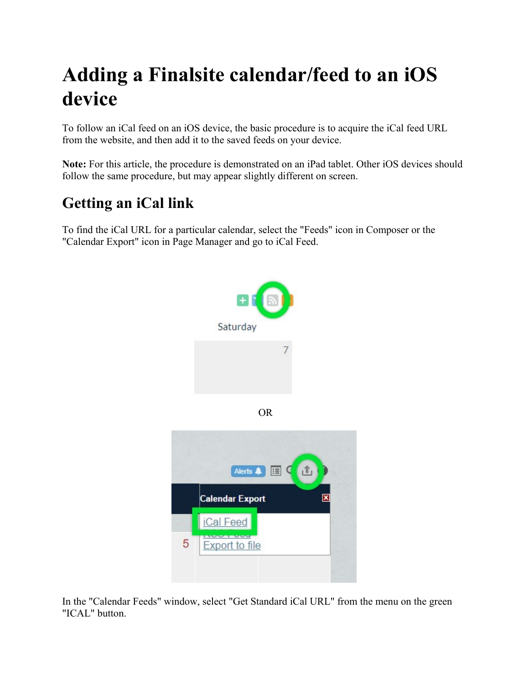## **Adding a Finalsite calendar/feed to an iOS device**

To follow an iCal feed on an iOS device, the basic procedure is to acquire the iCal feed URL from the website, and then add it to the saved feeds on your device.

**Note:** For this article, the procedure is demonstrated on an iPad tablet. Other iOS devices should follow the same procedure, but may appear slightly different on screen.

## **Getting an iCal link**

To find the iCal URL for a particular calendar, select the "Feeds" icon in Composer or the "Calendar Export" icon in Page Manager and go to iCal Feed.



OR



In the "Calendar Feeds" window, select "Get Standard iCal URL" from the menu on the green "ICAL" button.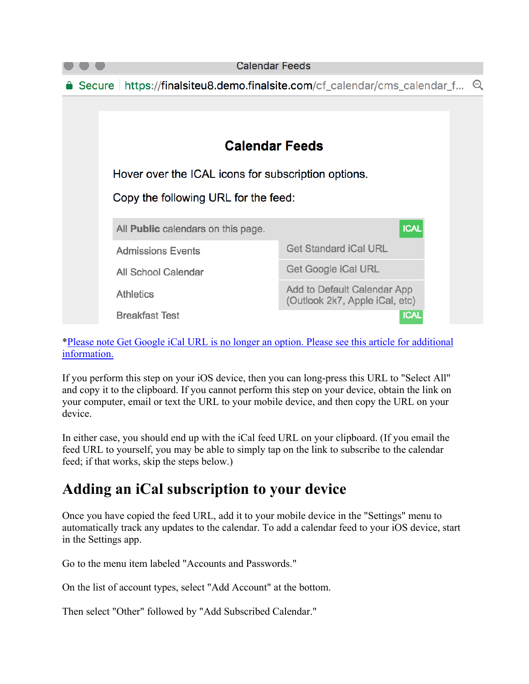

[\\*Please note Get Google iCal URL is no longer an option. Please see this article for additional](https://www.finalsite.com/blog/p/%7Epost/add-to-google-calendar-feature-20161201)  [information.](https://www.finalsite.com/blog/p/%7Epost/add-to-google-calendar-feature-20161201)

If you perform this step on your iOS device, then you can long-press this URL to "Select All" and copy it to the clipboard. If you cannot perform this step on your device, obtain the link on your computer, email or text the URL to your mobile device, and then copy the URL on your device.

In either case, you should end up with the iCal feed URL on your clipboard. (If you email the feed URL to yourself, you may be able to simply tap on the link to subscribe to the calendar feed; if that works, skip the steps below.)

## **Adding an iCal subscription to your device**

Once you have copied the feed URL, add it to your mobile device in the "Settings" menu to automatically track any updates to the calendar. To add a calendar feed to your iOS device, start in the Settings app.

Go to the menu item labeled "Accounts and Passwords."

On the list of account types, select "Add Account" at the bottom.

Then select "Other" followed by "Add Subscribed Calendar."